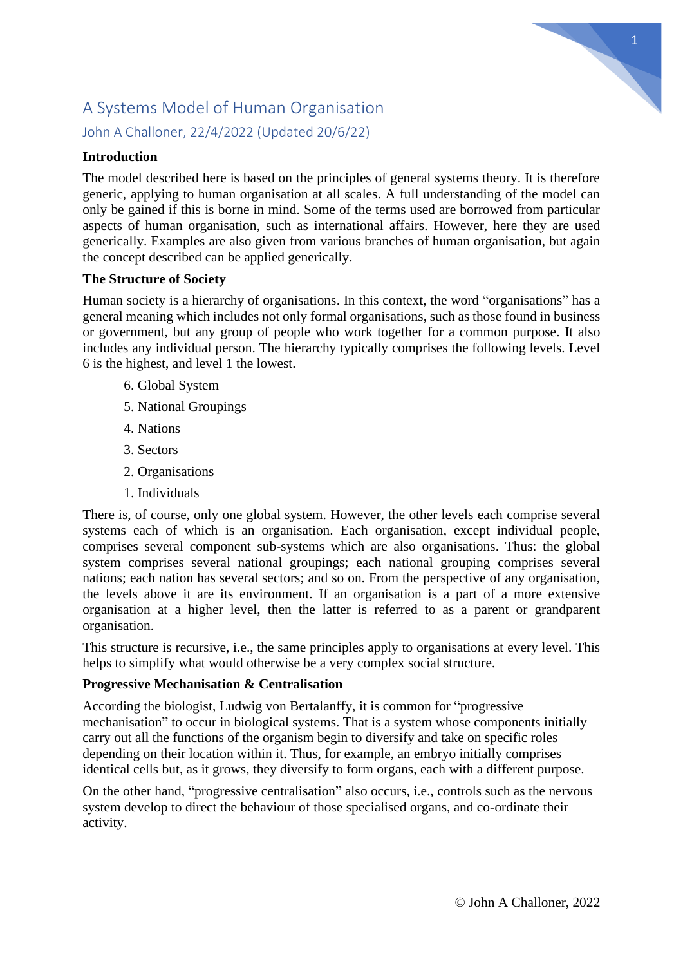# 1

# A Systems Model of Human Organisation John A Challoner, 22/4/2022 (Updated 20/6/22)

# **Introduction**

The model described here is based on the principles of general systems theory. It is therefore generic, applying to human organisation at all scales. A full understanding of the model can only be gained if this is borne in mind. Some of the terms used are borrowed from particular aspects of human organisation, such as international affairs. However, here they are used generically. Examples are also given from various branches of human organisation, but again the concept described can be applied generically.

## **The Structure of Society**

Human society is a hierarchy of organisations. In this context, the word "organisations" has a general meaning which includes not only formal organisations, such as those found in business or government, but any group of people who work together for a common purpose. It also includes any individual person. The hierarchy typically comprises the following levels. Level 6 is the highest, and level 1 the lowest.

- 6. Global System
- 5. National Groupings
- 4. Nations
- 3. Sectors
- 2. Organisations
- 1. Individuals

There is, of course, only one global system. However, the other levels each comprise several systems each of which is an organisation. Each organisation, except individual people, comprises several component sub-systems which are also organisations. Thus: the global system comprises several national groupings; each national grouping comprises several nations; each nation has several sectors; and so on. From the perspective of any organisation, the levels above it are its environment. If an organisation is a part of a more extensive organisation at a higher level, then the latter is referred to as a parent or grandparent organisation.

This structure is recursive, i.e., the same principles apply to organisations at every level. This helps to simplify what would otherwise be a very complex social structure.

# **Progressive Mechanisation & Centralisation**

According the biologist, Ludwig von Bertalanffy, it is common for "progressive mechanisation" to occur in biological systems. That is a system whose components initially carry out all the functions of the organism begin to diversify and take on specific roles depending on their location within it. Thus, for example, an embryo initially comprises identical cells but, as it grows, they diversify to form organs, each with a different purpose.

On the other hand, "progressive centralisation" also occurs, i.e., controls such as the nervous system develop to direct the behaviour of those specialised organs, and co-ordinate their activity.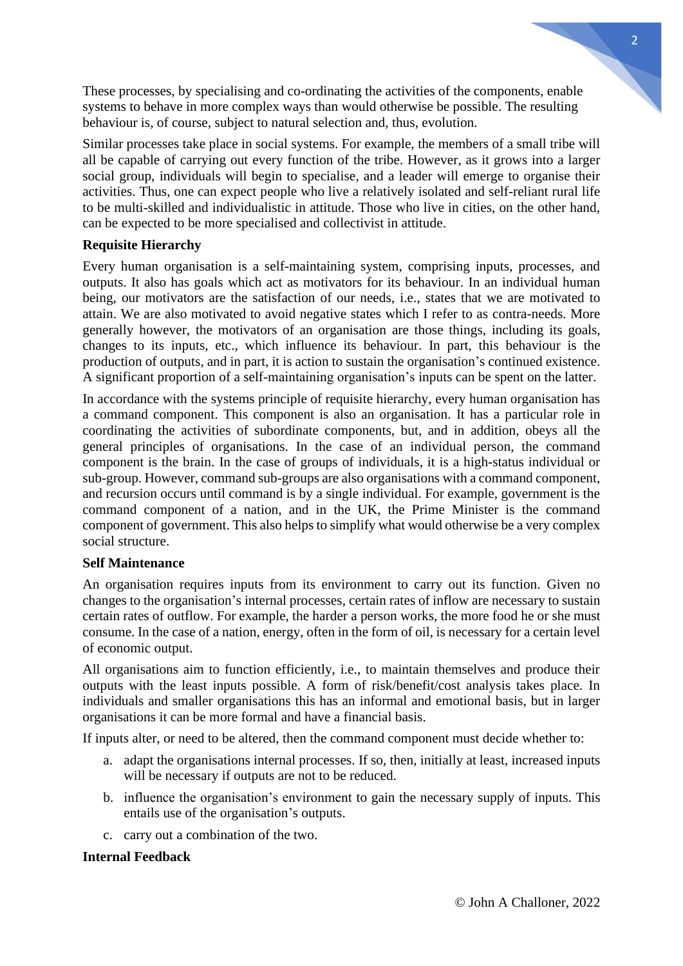These processes, by specialising and co-ordinating the activities of the components, enable systems to behave in more complex ways than would otherwise be possible. The resulting behaviour is, of course, subject to natural selection and, thus, evolution.

Similar processes take place in social systems. For example, the members of a small tribe will all be capable of carrying out every function of the tribe. However, as it grows into a larger social group, individuals will begin to specialise, and a leader will emerge to organise their activities. Thus, one can expect people who live a relatively isolated and self-reliant rural life to be multi-skilled and individualistic in attitude. Those who live in cities, on the other hand, can be expected to be more specialised and collectivist in attitude.

## **Requisite Hierarchy**

Every human organisation is a self-maintaining system, comprising inputs, processes, and outputs. It also has goals which act as motivators for its behaviour. In an individual human being, our motivators are the satisfaction of our needs, i.e., states that we are motivated to attain. We are also motivated to avoid negative states which I refer to as contra-needs. More generally however, the motivators of an organisation are those things, including its goals, changes to its inputs, etc., which influence its behaviour. In part, this behaviour is the production of outputs, and in part, it is action to sustain the organisation's continued existence. A significant proportion of a self-maintaining organisation's inputs can be spent on the latter.

In accordance with the systems principle of requisite hierarchy, every human organisation has a command component. This component is also an organisation. It has a particular role in coordinating the activities of subordinate components, but, and in addition, obeys all the general principles of organisations. In the case of an individual person, the command component is the brain. In the case of groups of individuals, it is a high-status individual or sub-group. However, command sub-groups are also organisations with a command component, and recursion occurs until command is by a single individual. For example, government is the command component of a nation, and in the UK, the Prime Minister is the command component of government. This also helps to simplify what would otherwise be a very complex social structure.

#### **Self Maintenance**

An organisation requires inputs from its environment to carry out its function. Given no changes to the organisation's internal processes, certain rates of inflow are necessary to sustain certain rates of outflow. For example, the harder a person works, the more food he or she must consume. In the case of a nation, energy, often in the form of oil, is necessary for a certain level of economic output.

All organisations aim to function efficiently, i.e., to maintain themselves and produce their outputs with the least inputs possible. A form of risk/benefit/cost analysis takes place. In individuals and smaller organisations this has an informal and emotional basis, but in larger organisations it can be more formal and have a financial basis.

If inputs alter, or need to be altered, then the command component must decide whether to:

- a. adapt the organisations internal processes. If so, then, initially at least, increased inputs will be necessary if outputs are not to be reduced.
- b. influence the organisation's environment to gain the necessary supply of inputs. This entails use of the organisation's outputs.
- c. carry out a combination of the two.

#### **Internal Feedback**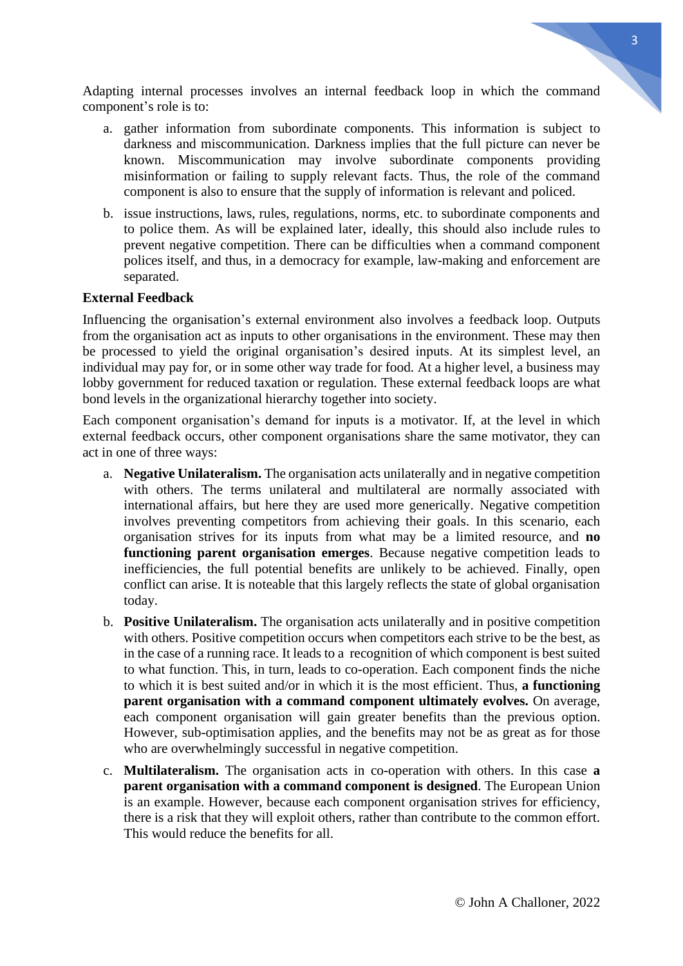Adapting internal processes involves an internal feedback loop in which the command component's role is to:

- a. gather information from subordinate components. This information is subject to darkness and miscommunication. Darkness implies that the full picture can never be known. Miscommunication may involve subordinate components providing misinformation or failing to supply relevant facts. Thus, the role of the command component is also to ensure that the supply of information is relevant and policed.
- b. issue instructions, laws, rules, regulations, norms, etc. to subordinate components and to police them. As will be explained later, ideally, this should also include rules to prevent negative competition. There can be difficulties when a command component polices itself, and thus, in a democracy for example, law-making and enforcement are separated.

#### **External Feedback**

Influencing the organisation's external environment also involves a feedback loop. Outputs from the organisation act as inputs to other organisations in the environment. These may then be processed to yield the original organisation's desired inputs. At its simplest level, an individual may pay for, or in some other way trade for food. At a higher level, a business may lobby government for reduced taxation or regulation. These external feedback loops are what bond levels in the organizational hierarchy together into society.

Each component organisation's demand for inputs is a motivator. If, at the level in which external feedback occurs, other component organisations share the same motivator, they can act in one of three ways:

- a. **Negative Unilateralism.** The organisation acts unilaterally and in negative competition with others. The terms unilateral and multilateral are normally associated with international affairs, but here they are used more generically. Negative competition involves preventing competitors from achieving their goals. In this scenario, each organisation strives for its inputs from what may be a limited resource, and **no functioning parent organisation emerges**. Because negative competition leads to inefficiencies, the full potential benefits are unlikely to be achieved. Finally, open conflict can arise. It is noteable that this largely reflects the state of global organisation today.
- b. **Positive Unilateralism.** The organisation acts unilaterally and in positive competition with others. Positive competition occurs when competitors each strive to be the best, as in the case of a running race. It leads to a recognition of which component is best suited to what function. This, in turn, leads to co-operation. Each component finds the niche to which it is best suited and/or in which it is the most efficient. Thus, **a functioning parent organisation with a command component ultimately evolves.** On average, each component organisation will gain greater benefits than the previous option. However, sub-optimisation applies, and the benefits may not be as great as for those who are overwhelmingly successful in negative competition.
- c. **Multilateralism.** The organisation acts in co-operation with others. In this case **a parent organisation with a command component is designed**. The European Union is an example. However, because each component organisation strives for efficiency, there is a risk that they will exploit others, rather than contribute to the common effort. This would reduce the benefits for all.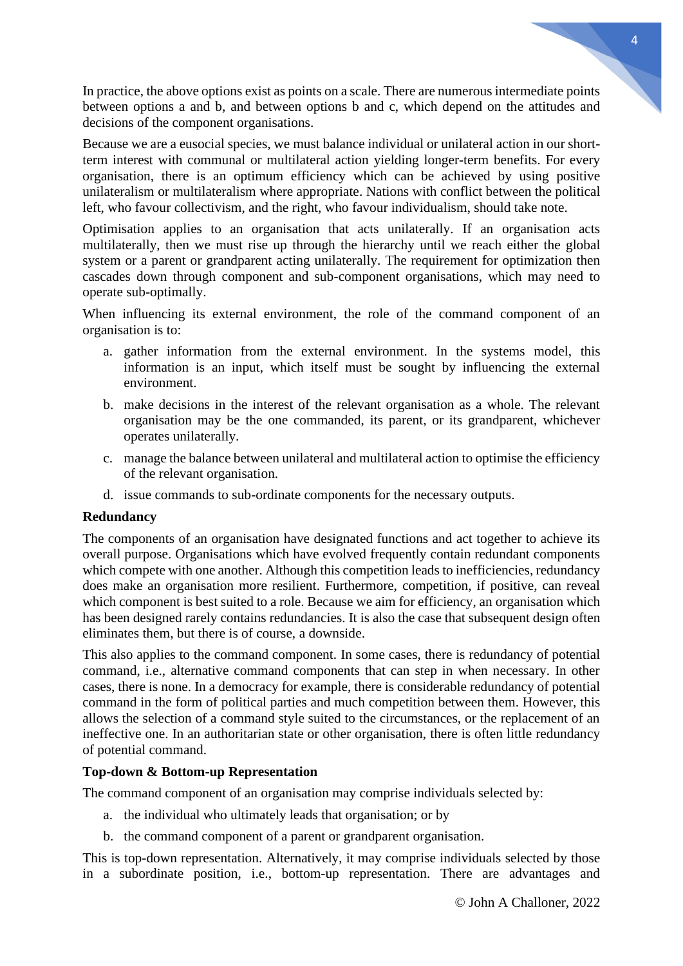In practice, the above options exist as points on a scale. There are numerous intermediate points between options a and b, and between options b and c, which depend on the attitudes and decisions of the component organisations.

Because we are a eusocial species, we must balance individual or unilateral action in our shortterm interest with communal or multilateral action yielding longer-term benefits. For every organisation, there is an optimum efficiency which can be achieved by using positive unilateralism or multilateralism where appropriate. Nations with conflict between the political left, who favour collectivism, and the right, who favour individualism, should take note.

Optimisation applies to an organisation that acts unilaterally. If an organisation acts multilaterally, then we must rise up through the hierarchy until we reach either the global system or a parent or grandparent acting unilaterally. The requirement for optimization then cascades down through component and sub-component organisations, which may need to operate sub-optimally.

When influencing its external environment, the role of the command component of an organisation is to:

- a. gather information from the external environment. In the systems model, this information is an input, which itself must be sought by influencing the external environment.
- b. make decisions in the interest of the relevant organisation as a whole. The relevant organisation may be the one commanded, its parent, or its grandparent, whichever operates unilaterally.
- c. manage the balance between unilateral and multilateral action to optimise the efficiency of the relevant organisation.
- d. issue commands to sub-ordinate components for the necessary outputs.

#### **Redundancy**

The components of an organisation have designated functions and act together to achieve its overall purpose. Organisations which have evolved frequently contain redundant components which compete with one another. Although this competition leads to inefficiencies, redundancy does make an organisation more resilient. Furthermore, competition, if positive, can reveal which component is best suited to a role. Because we aim for efficiency, an organisation which has been designed rarely contains redundancies. It is also the case that subsequent design often eliminates them, but there is of course, a downside.

This also applies to the command component. In some cases, there is redundancy of potential command, i.e., alternative command components that can step in when necessary. In other cases, there is none. In a democracy for example, there is considerable redundancy of potential command in the form of political parties and much competition between them. However, this allows the selection of a command style suited to the circumstances, or the replacement of an ineffective one. In an authoritarian state or other organisation, there is often little redundancy of potential command.

#### **Top-down & Bottom-up Representation**

The command component of an organisation may comprise individuals selected by:

- a. the individual who ultimately leads that organisation; or by
- b. the command component of a parent or grandparent organisation.

This is top-down representation. Alternatively, it may comprise individuals selected by those in a subordinate position, i.e., bottom-up representation. There are advantages and